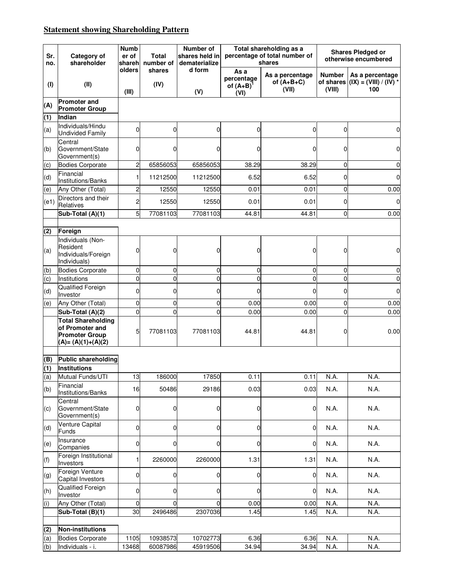## **Statement showing Shareholding Pattern**

| Sr.<br>no. | Category of<br>shareholder                                                                   | <b>Numb</b><br>er of<br>shareh | <b>Total</b><br>number of | Number of<br>shares held in<br>dematerialize |                                          | Total shareholding as a<br>percentage of total number of<br>shares | <b>Shares Pledged or</b><br>otherwise encumbered |                                                                    |  |
|------------|----------------------------------------------------------------------------------------------|--------------------------------|---------------------------|----------------------------------------------|------------------------------------------|--------------------------------------------------------------------|--------------------------------------------------|--------------------------------------------------------------------|--|
| (1)        | (II)                                                                                         | olders<br>(III)                | shares<br>(IV)            | d form<br>(V)                                | As a<br>percentage<br>of $(A+B)$<br>(VI) | As a percentage<br>of $(A+B+C)$<br>(VII)                           | <b>Number</b><br>(VIII)                          | As a percentage<br>of shares $\vert$ (IX) = (VIII) / (IV) *<br>100 |  |
| (A)        | <b>Promoter and</b><br><b>Promoter Group</b>                                                 |                                |                           |                                              |                                          |                                                                    |                                                  |                                                                    |  |
| (1)        | Indian                                                                                       |                                |                           |                                              |                                          |                                                                    |                                                  |                                                                    |  |
|            | Individuals/Hindu                                                                            |                                |                           |                                              |                                          |                                                                    |                                                  |                                                                    |  |
| (a)        | <b>Undivided Family</b><br>Central                                                           | $\overline{0}$                 | 0                         | 0                                            | 0                                        | 0                                                                  | 0                                                | $\mathbf 0$                                                        |  |
| (b)        | Government/State<br>Government(s)                                                            | 0                              | 0                         | 0                                            | 0                                        | O                                                                  | 0                                                | $\mathbf 0$                                                        |  |
| (c)        | <b>Bodies Corporate</b>                                                                      | $\overline{c}$                 | 65856053                  | 65856053                                     | 38.29                                    | 38.29                                                              | $\mathbf 0$                                      | $\mathbf 0$                                                        |  |
| (d)        | Financial<br>Institutions/Banks                                                              | 1                              | 11212500                  | 11212500                                     | 6.52                                     | 6.52                                                               | $\mathbf 0$                                      | $\mathbf 0$                                                        |  |
| (e)        | Any Other (Total)                                                                            | 2                              | 12550                     | 12550                                        | 0.01                                     | 0.01                                                               | $\mathbf 0$                                      | 0.00                                                               |  |
| (e1)       | Directors and their<br>Relatives                                                             | 2                              | 12550                     | 12550                                        | 0.01                                     | 0.01                                                               | $\mathbf 0$                                      | $\mathbf 0$                                                        |  |
|            | Sub-Total (A)(1)                                                                             | 5 <sup>1</sup>                 | 77081103                  | 77081103                                     | 44.81                                    | 44.81                                                              | $\mathbf 0$                                      | 0.00                                                               |  |
|            |                                                                                              |                                |                           |                                              |                                          |                                                                    |                                                  |                                                                    |  |
| (2)        | Foreign                                                                                      |                                |                           |                                              |                                          |                                                                    |                                                  |                                                                    |  |
| (a)        | Individuals (Non-<br>Resident<br>Individuals/Foreign<br>Individuals)                         | 0                              | 0                         | 0                                            | 0                                        | $\Omega$                                                           | 0                                                | $\mathbf 0$                                                        |  |
| (b)        | <b>Bodies Corporate</b>                                                                      | 0                              | 0                         | 0                                            | 0                                        | $\Omega$                                                           | $\mathbf 0$                                      | $\pmb{0}$                                                          |  |
| (c)        | Institutions                                                                                 | $\overline{0}$                 | $\Omega$                  | $\mathbf 0$                                  | $\overline{0}$                           | $\Omega$                                                           | $\mathbf 0$                                      | $\mathbf 0$                                                        |  |
| (d)        | Qualified Foreign<br>Investor                                                                | 0                              | 0                         | 0                                            | 0                                        | 0                                                                  | 0                                                | $\mathbf 0$                                                        |  |
| (e)        | Any Other (Total)                                                                            | 0                              | 0                         | 0                                            | 0.00                                     | 0.00                                                               | $\mathbf 0$                                      | 0.00                                                               |  |
|            | Sub-Total (A)(2)                                                                             | 0                              | $\mathbf 0$               | $\Omega$                                     | 0.00                                     | 0.00                                                               | $\mathbf 0$                                      | 0.00                                                               |  |
|            | <b>Total Shareholding</b><br>of Promoter and<br><b>Promoter Group</b><br>$(A)=(A)(1)+(A)(2)$ | 5                              | 77081103                  | 77081103                                     | 44.81                                    | 44.81                                                              | 0                                                | 0.00                                                               |  |
|            | <b>Public shareholding</b>                                                                   |                                |                           |                                              |                                          |                                                                    |                                                  |                                                                    |  |
| (B)<br>(1) | <b>Institutions</b>                                                                          |                                |                           |                                              |                                          |                                                                    |                                                  |                                                                    |  |
|            | Mutual Funds/UTI                                                                             | 13                             | 186000                    | 17850                                        | 0.11                                     | 0.11                                                               | N.A.                                             | N.A.                                                               |  |
| (a)        | Financial                                                                                    |                                |                           |                                              |                                          |                                                                    |                                                  |                                                                    |  |
| (b)        | Institutions/Banks<br>Central                                                                | 16                             | 50486                     | 29186                                        | 0.03                                     | 0.03                                                               | N.A.                                             | N.A.                                                               |  |
| (c)        | Government/State<br>Government(s)                                                            | 0                              | 0                         | 0                                            | 0                                        | 0                                                                  | N.A.                                             | N.A.                                                               |  |
| (d)        | <b>Venture Capital</b><br>Funds                                                              | 0                              | 0                         | 0                                            | 0                                        | $\mathbf 0$                                                        | N.A.                                             | N.A.                                                               |  |
| (e)        | Insurance<br>Companies                                                                       | $\overline{0}$                 | 0                         | 0                                            | $\overline{0}$                           | $\mathbf 0$                                                        | N.A.                                             | N.A.                                                               |  |
| (f)        | Foreign Institutional<br>Investors                                                           | 1                              | 2260000                   | 2260000                                      | 1.31                                     | 1.31                                                               | N.A.                                             | N.A.                                                               |  |
| (g)        | Foreign Venture<br>Capital Investors                                                         | 0                              | 0                         | 0                                            | 0                                        | 0                                                                  | N.A.                                             | N.A.                                                               |  |
| (h)        | Qualified Foreign<br>Investor                                                                | 0                              | 0                         | 0                                            | $\overline{0}$                           | $\overline{0}$                                                     | N.A.                                             | N.A.                                                               |  |
| (i)        | Any Other (Total)                                                                            | 0                              | $\Omega$                  | $\Omega$                                     | 0.00                                     | 0.00                                                               | N.A.                                             | N.A.                                                               |  |
|            | Sub-Total (B)(1)                                                                             | 30                             | 2496486                   | 2307036                                      | 1.45                                     | 1.45                                                               | N.A.                                             | N.A.                                                               |  |
|            |                                                                                              |                                |                           |                                              |                                          |                                                                    |                                                  |                                                                    |  |
| (2)        | Non-institutions                                                                             |                                |                           |                                              |                                          |                                                                    |                                                  |                                                                    |  |
| (a)        | <b>Bodies Corporate</b>                                                                      | 1105                           | 10938573                  | 10702773                                     | 6.36                                     | 6.36                                                               | N.A.                                             | N.A.                                                               |  |
| (b)        | Individuals - i.                                                                             | 13468                          | 60087986                  | 45919506                                     | 34.94                                    | 34.94                                                              | N.A.                                             | N.A.                                                               |  |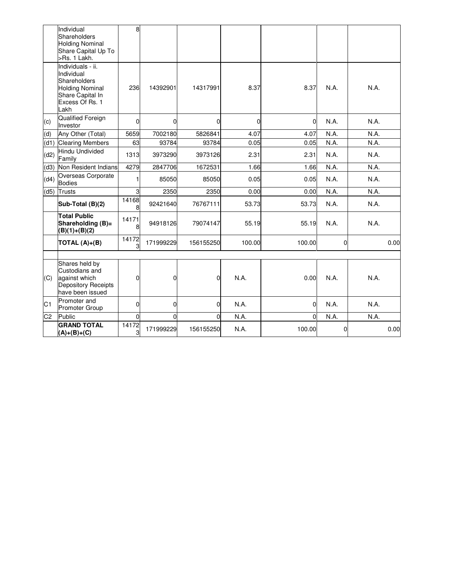|                | Individual<br>Shareholders<br><b>Holding Nominal</b><br>Share Capital Up To<br>>Rs. 1 Lakh.                              | 8              |             |             |          |          |              |      |
|----------------|--------------------------------------------------------------------------------------------------------------------------|----------------|-------------|-------------|----------|----------|--------------|------|
|                | Individuals - ii.<br>Individual<br>Shareholders<br><b>Holding Nominal</b><br>Share Capital In<br>Excess Of Rs. 1<br>Lakh | 236            | 14392901    | 14317991    | 8.37     | 8.37     | N.A.         | N.A. |
| (c)            | Qualified Foreign<br>Investor                                                                                            | $\Omega$       | $\Omega$    | $\Omega$    | $\Omega$ | $\Omega$ | N.A.         | N.A. |
| (d)            | Any Other (Total)                                                                                                        | 5659           | 7002180     | 5826841     | 4.07     | 4.07     | N.A.         | N.A. |
| (d1)           | <b>Clearing Members</b>                                                                                                  | 63             | 93784       | 93784       | 0.05     | 0.05     | N.A.         | N.A. |
| (d2)           | Hindu Undivided<br>Family                                                                                                | 1313           | 3973290     | 3973126     | 2.31     | 2.31     | N.A.         | N.A. |
| (d3)           | Non Resident Indians                                                                                                     | 4279           | 2847706     | 1672531     | 1.66     | 1.66     | N.A.         | N.A. |
| (d4)           | Overseas Corporate<br><b>Bodies</b>                                                                                      | 1              | 85050       | 85050       | 0.05     | 0.05     | N.A.         | N.A. |
| (d5)           | Trusts                                                                                                                   | $\overline{3}$ | 2350        | 2350        | 0.00     | 0.00     | N.A.         | N.A. |
|                | Sub-Total (B)(2)                                                                                                         | 14168<br>8     | 92421640    | 76767111    | 53.73    | 53.73    | N.A.         | N.A. |
|                | <b>Total Public</b><br>Shareholding (B)=<br>$(B)(1)+(B)(2)$                                                              | 14171<br>8     | 94918126    | 79074147    | 55.19    | 55.19    | N.A.         | N.A. |
|                | TOTAL (A)+(B)                                                                                                            | 14172<br>3     | 171999229   | 156155250   | 100.00   | 100.00   | $\mathbf{0}$ | 0.00 |
|                |                                                                                                                          |                |             |             |          |          |              |      |
| (C)            | Shares held by<br>Custodians and<br>against which<br>Depository Receipts<br>have been issued                             | $\overline{0}$ | 0           | $\mathbf 0$ | N.A.     | 0.00     | N.A.         | N.A. |
| C <sub>1</sub> | Promoter and<br>Promoter Group                                                                                           | $\Omega$       | $\mathbf 0$ | $\Omega$    | N.A.     | $\Omega$ | N.A.         | N.A. |
| C <sub>2</sub> | Public                                                                                                                   | $\overline{0}$ | $\Omega$    | $\Omega$    | N.A.     | $\Omega$ | N.A.         | N.A. |
|                | <b>GRAND TOTAL</b><br>$(A)+(B)+(C)$                                                                                      | 14172<br>3     | 171999229   | 156155250   | N.A.     | 100.00   | 0            | 0.00 |